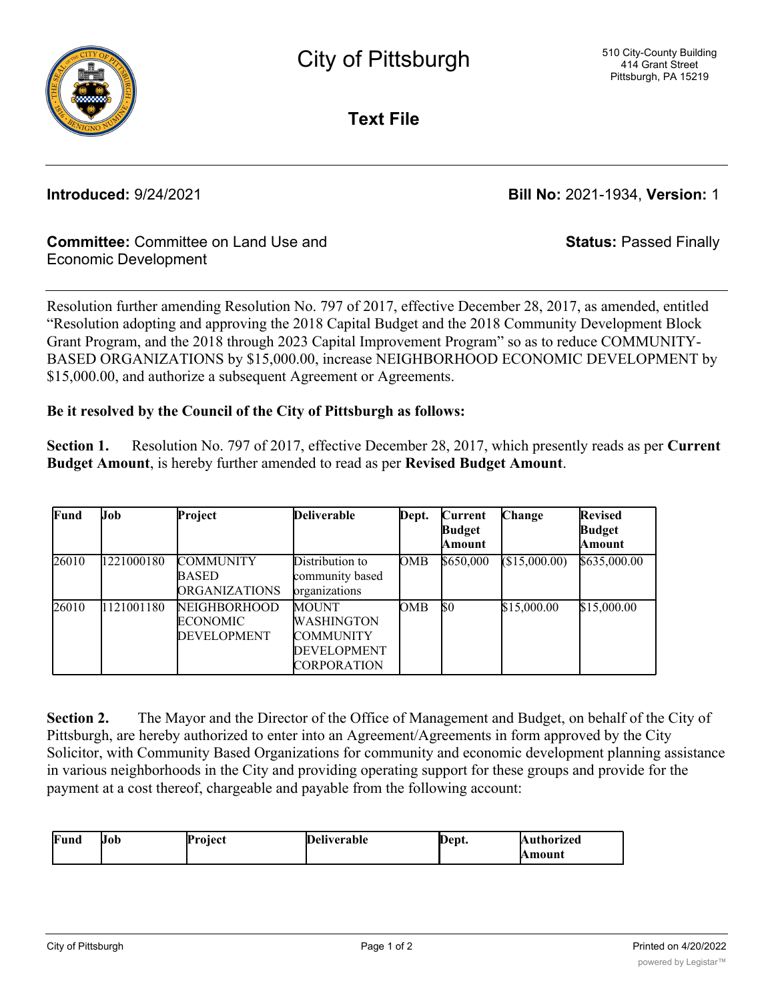

**Text File**

**Introduced:** 9/24/2021 **Bill No:** 2021-1934, **Version:** 1

**Status:** Passed Finally

## **Committee:** Committee on Land Use and Economic Development

Resolution further amending Resolution No. 797 of 2017, effective December 28, 2017, as amended, entitled "Resolution adopting and approving the 2018 Capital Budget and the 2018 Community Development Block Grant Program, and the 2018 through 2023 Capital Improvement Program" so as to reduce COMMUNITY-BASED ORGANIZATIONS by \$15,000.00, increase NEIGHBORHOOD ECONOMIC DEVELOPMENT by \$15,000.00, and authorize a subsequent Agreement or Agreements.

### **Be it resolved by the Council of the City of Pittsburgh as follows:**

**Section 1.** Resolution No. 797 of 2017, effective December 28, 2017, which presently reads as per **Current Budget Amount**, is hereby further amended to read as per **Revised Budget Amount**.

| Fund  | Job        | Project                                                      | <b>Deliverable</b>                                                                         | Dept. | Current<br>Budget<br>Amount | Change        | <b>Revised</b><br><b>Budget</b><br>Amount |
|-------|------------|--------------------------------------------------------------|--------------------------------------------------------------------------------------------|-------|-----------------------------|---------------|-------------------------------------------|
| 26010 | 1221000180 | <b>COMMUNITY</b><br><b>BASED</b><br><b>ORGANIZATIONS</b>     | Distribution to<br>community based<br>organizations                                        | OMB   | \$650,000                   | (\$15,000.00) | \$635,000.00                              |
| 26010 | 1121001180 | <b>NEIGHBORHOOD</b><br><b>ECONOMIC</b><br><b>DEVELOPMENT</b> | <b>MOUNT</b><br><b>WASHINGTON</b><br><b>COMMUNITY</b><br><b>DEVELOPMENT</b><br>CORPORATION | OMB   | $\$0$                       | \$15,000.00   | \$15,000.00                               |

**Section 2.** The Mayor and the Director of the Office of Management and Budget, on behalf of the City of Pittsburgh, are hereby authorized to enter into an Agreement/Agreements in form approved by the City Solicitor, with Community Based Organizations for community and economic development planning assistance in various neighborhoods in the City and providing operating support for these groups and provide for the payment at a cost thereof, chargeable and payable from the following account:

| Fund | Uob | Proiect | $\blacksquare$<br>m<br><b>)</b> eliverable | Dept. | Authorized |
|------|-----|---------|--------------------------------------------|-------|------------|
|      |     |         |                                            |       | Amount     |

CORPORATION